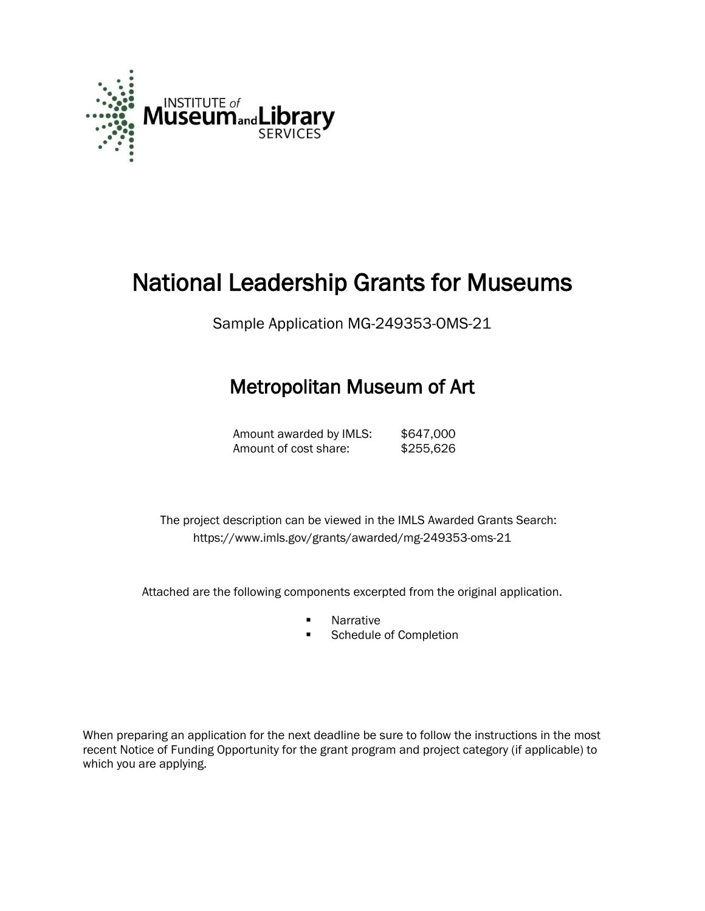

# National Leadership Grants for Museums

Sample Application MG-249353-OMS-21

## Metropolitan Museum of Art

Amount awarded by IMLS: \$647,000 Amount of cost share: \$255,626

 The project description can be viewed in the IMLS Awarded Grants Search: <https://www.imls.gov/grants/awarded/mg-249353-oms-21>

Attached are the following components excerpted from the original application.

- **Narrative**
- **Schedule of Completion**

When preparing an application for the next deadline be sure to follow the instructions in the most recent Notice of Funding Opportunity for the grant program and project category (if applicable) to which you are applying.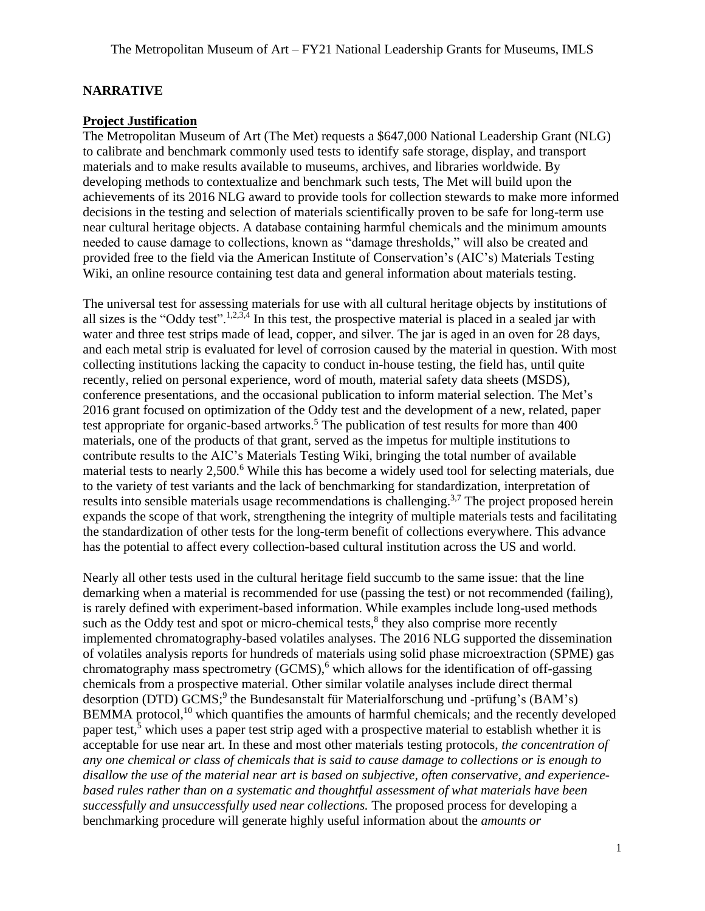#### **NARRATIVE**

#### **Project Justification**

The Metropolitan Museum of Art (The Met) requests a \$647,000 National Leadership Grant (NLG) to calibrate and benchmark commonly used tests to identify safe storage, display, and transport materials and to make results available to museums, archives, and libraries worldwide. By developing methods to contextualize and benchmark such tests, The Met will build upon the achievements of its 2016 NLG award to provide tools for collection stewards to make more informed decisions in the testing and selection of materials scientifically proven to be safe for long-term use near cultural heritage objects. A database containing harmful chemicals and the minimum amounts needed to cause damage to collections, known as "damage thresholds," will also be created and provided free to the field via the American Institute of Conservation's (AIC's) Materials Testing Wiki, an online resource containing test data and general information about materials testing.

<span id="page-1-3"></span><span id="page-1-2"></span><span id="page-1-0"></span>The universal test for assessing materials for use with all cultural heritage objects by institutions of all sizes is the "Oddy test".<sup>1,2,3,4</sup> In this test, the prospective material is placed in a sealed jar with water and three test strips made of lead, copper, and silver. The jar is aged in an oven for 28 days, and each metal strip is evaluated for level of corrosion caused by the material in question. With most collecting institutions lacking the capacity to conduct in-house testing, the field has, until quite recently, relied on personal experience, word of mouth, material safety data sheets (MSDS), conference presentations, and the occasional publication to inform material selection. The Met's 2016 grant focused on optimization of the Oddy test and the development of a new, related, paper test appropriate for organic-based artworks.<sup>5</sup> The publication of test results for more than 400 materials, one of the products of that grant, served as the impetus for multiple institutions to contribute results to the AIC's Materials Testing Wiki, bringing the total number of available material tests to nearly 2,500.<sup>6</sup> While this has become a widely used tool for selecting materials, due to the variety of test variants and the lack of benchmarking for standardization, interpretation of results into sensible materials usage recommendations is challenging.<sup>[3,7](#page-1-0)</sup> The project proposed herein expands the scope of that work, strengthening the integrity of multiple materials tests and facilitating the standardization of other tests for the long-term benefit of collections everywhere. This advance has the potential to affect every collection-based cultural institution across the US and world.

<span id="page-1-4"></span><span id="page-1-1"></span>Nearly all other tests used in the cultural heritage field succumb to the same issue: that the line demarking when a material is recommended for use (passing the test) or not recommended (failing), is rarely defined with experiment-based information. While examples include long-used methods such as the Oddy test and spot or micro-chemical tests, $<sup>8</sup>$  they also comprise more recently</sup> implemented chromatography-based volatiles analyses. The 2016 NLG supported the dissemination of volatiles analysis reports for hundreds of materials using solid phase microextraction (SPME) gas chromatography mass spectrometry  $(GCMS)$ , which allows for the identification of off-gassing chemicals from a prospective material. Other similar volatile analyses include direct thermal desorption (DTD) GCMS;<sup>9</sup> the Bundesanstalt für Materialforschung und -prüfung's (BAM's) BEMMA protocol,<sup>10</sup> which quantifies the amounts of harmful chemicals; and the recently developed paper test,[5](#page-1-2) which uses a paper test strip aged with a prospective material to establish whether it is acceptable for use near art. In these and most other materials testing protocols, *the concentration of any one chemical or class of chemicals that is said to cause damage to collections or is enough to disallow the use of the material near art is based on subjective, often conservative, and experiencebased rules rather than on a systematic and thoughtful assessment of what materials have been successfully and unsuccessfully used near collections.* The proposed process for developing a benchmarking procedure will generate highly useful information about the *amounts or*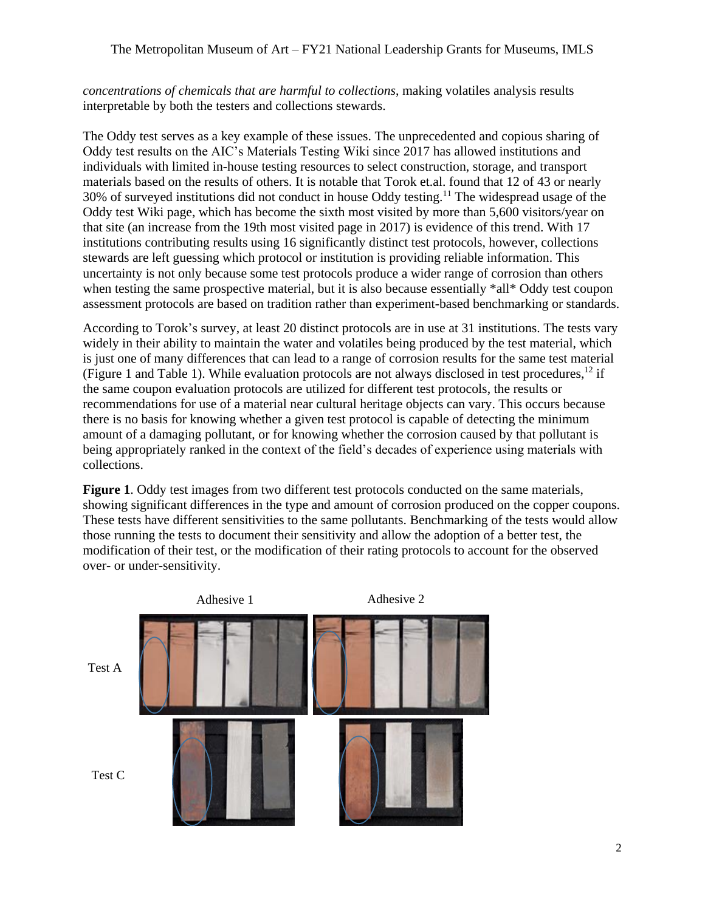#### The Metropolitan Museum of Art – FY21 National Leadership Grants for Museums, IMLS

*concentrations of chemicals that are harmful to collections*, making volatiles analysis results interpretable by both the testers and collections stewards.

The Oddy test serves as a key example of these issues. The unprecedented and copious sharing of Oddy test results on the AIC's Materials Testing Wiki since 2017 has allowed institutions and individuals with limited in-house testing resources to select construction, storage, and transport materials based on the results of others. It is notable that Torok et.al. found that 12 of 43 or nearly  $30\%$  of surveyed institutions did not conduct in house Oddy testing.<sup>11</sup> The widespread usage of the Oddy test Wiki page, which has become the sixth most visited by more than 5,600 visitors/year on that site (an increase from the 19th most visited page in 2017) is evidence of this trend. With 17 institutions contributing results using 16 significantly distinct test protocols, however, collections stewards are left guessing which protocol or institution is providing reliable information. This uncertainty is not only because some test protocols produce a wider range of corrosion than others when testing the same prospective material, but it is also because essentially \*all\* Oddy test coupon assessment protocols are based on tradition rather than experiment-based benchmarking or standards.

According to Torok's survey, at least 20 distinct protocols are in use at 31 institutions. The tests vary widely in their ability to maintain the water and volatiles being produced by the test material, which is just one of many differences that can lead to a range of corrosion results for the same test material (Figure 1 and Table 1). While evaluation protocols are not always disclosed in test procedures,<sup>12</sup> if the same coupon evaluation protocols are utilized for different test protocols, the results or recommendations for use of a material near cultural heritage objects can vary. This occurs because there is no basis for knowing whether a given test protocol is capable of detecting the minimum amount of a damaging pollutant, or for knowing whether the corrosion caused by that pollutant is being appropriately ranked in the context of the field's decades of experience using materials with collections.

**Figure 1.** Oddy test images from two different test protocols conducted on the same materials, showing significant differences in the type and amount of corrosion produced on the copper coupons. These tests have different sensitivities to the same pollutants. Benchmarking of the tests would allow those running the tests to document their sensitivity and allow the adoption of a better test, the modification of their test, or the modification of their rating protocols to account for the observed over- or under-sensitivity.

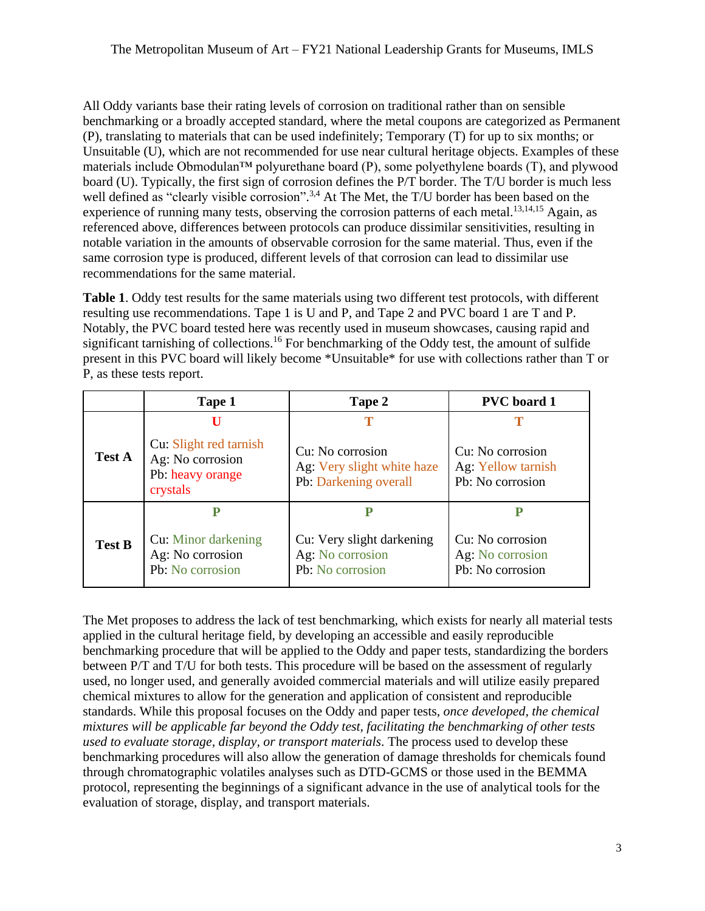All Oddy variants base their rating levels of corrosion on traditional rather than on sensible benchmarking or a broadly accepted standard, where the metal coupons are categorized as Permanent (P), translating to materials that can be used indefinitely; Temporary (T) for up to six months; or Unsuitable (U), which are not recommended for use near cultural heritage objects. Examples of these materials include Obmodulan<sup>™</sup> polyurethane board (P), some polyethylene boards (T), and plywood board (U). Typically, the first sign of corrosion defines the P/T border. The T/U border is much less well defined as "clearly visible corrosion".<sup>[3,](#page-1-0)[4](#page-1-3)</sup> At The Met, the T/U border has been based on the experience of running many tests, observing the corrosion patterns of each metal.<sup>13,14,15</sup> Again, as referenced above, differences between protocols can produce dissimilar sensitivities, resulting in notable variation in the amounts of observable corrosion for the same material. Thus, even if the same corrosion type is produced, different levels of that corrosion can lead to dissimilar use recommendations for the same material.

**Table 1**. Oddy test results for the same materials using two different test protocols, with different resulting use recommendations. Tape 1 is U and P, and Tape 2 and PVC board 1 are T and P. Notably, the PVC board tested here was recently used in museum showcases, causing rapid and significant tarnishing of collections.<sup>16</sup> For benchmarking of the Oddy test, the amount of sulfide present in this PVC board will likely become \*Unsuitable\* for use with collections rather than T or P, as these tests report.

|               | Tape 1                                                              | Tape 2                                                            | <b>PVC</b> board 1                                       |  |  |  |
|---------------|---------------------------------------------------------------------|-------------------------------------------------------------------|----------------------------------------------------------|--|--|--|
| <b>Test A</b> | Ш<br>Cu: Slight red tarnish<br>Ag: No corrosion<br>Pb: heavy orange | Cu: No corrosion<br>Ag: Very slight white haze                    | Cu: No corrosion<br>Ag: Yellow tarnish                   |  |  |  |
|               | crystals                                                            | Pb: Darkening overall                                             | Pb: No corrosion                                         |  |  |  |
|               |                                                                     |                                                                   |                                                          |  |  |  |
| <b>Test B</b> | Cu: Minor darkening<br>Ag: No corrosion<br>Pb: No corrosion         | Cu: Very slight darkening<br>Ag: No corrosion<br>Pb: No corrosion | Cu: No corrosion<br>Ag: No corrosion<br>Pb: No corrosion |  |  |  |

The Met proposes to address the lack of test benchmarking, which exists for nearly all material tests applied in the cultural heritage field, by developing an accessible and easily reproducible benchmarking procedure that will be applied to the Oddy and paper tests, standardizing the borders between P/T and T/U for both tests. This procedure will be based on the assessment of regularly used, no longer used, and generally avoided commercial materials and will utilize easily prepared chemical mixtures to allow for the generation and application of consistent and reproducible standards. While this proposal focuses on the Oddy and paper tests, *once developed, the chemical mixtures will be applicable far beyond the Oddy test, facilitating the benchmarking of other tests used to evaluate storage, display, or transport materials*. The process used to develop these benchmarking procedures will also allow the generation of damage thresholds for chemicals found through chromatographic volatiles analyses such as DTD-GCMS or those used in the BEMMA protocol, representing the beginnings of a significant advance in the use of analytical tools for the evaluation of storage, display, and transport materials.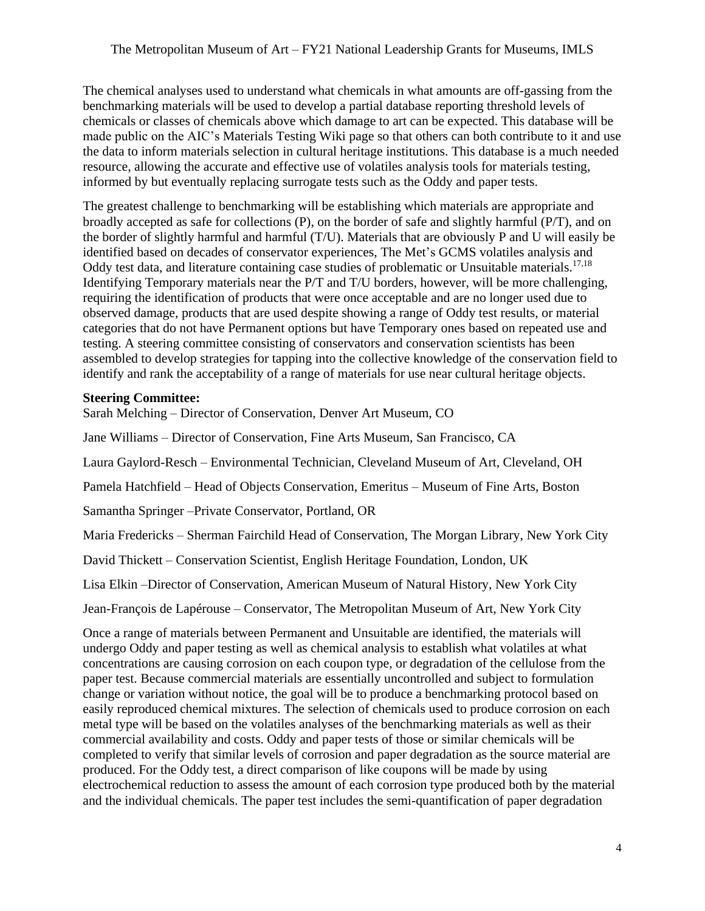The chemical analyses used to understand what chemicals in what amounts are off-gassing from the benchmarking materials will be used to develop a partial database reporting threshold levels of chemicals or classes of chemicals above which damage to art can be expected. This database will be made public on the AIC's Materials Testing Wiki page so that others can both contribute to it and use the data to inform materials selection in cultural heritage institutions. This database is a much needed resource, allowing the accurate and effective use of volatiles analysis tools for materials testing, informed by but eventually replacing surrogate tests such as the Oddy and paper tests.

The greatest challenge to benchmarking will be establishing which materials are appropriate and broadly accepted as safe for collections (P), on the border of safe and slightly harmful (P/T), and on the border of slightly harmful and harmful (T/U). Materials that are obviously P and U will easily be identified based on decades of conservator experiences, The Met's GCMS volatiles analysis and Oddy test data, and literature containing case studies of problematic or Unsuitable materials.<sup>17,18</sup> Identifying Temporary materials near the P/T and T/U borders, however, will be more challenging, requiring the identification of products that were once acceptable and are no longer used due to observed damage, products that are used despite showing a range of Oddy test results, or material categories that do not have Permanent options but have Temporary ones based on repeated use and testing. A steering committee consisting of conservators and conservation scientists has been assembled to develop strategies for tapping into the collective knowledge of the conservation field to identify and rank the acceptability of a range of materials for use near cultural heritage objects.

#### **Steering Committee:**

Sarah Melching – Director of Conservation, Denver Art Museum, CO

Jane Williams – Director of Conservation, Fine Arts Museum, San Francisco, CA

Laura Gaylord-Resch – Environmental Technician, Cleveland Museum of Art, Cleveland, OH

Pamela Hatchfield – Head of Objects Conservation, Emeritus – Museum of Fine Arts, Boston

Samantha Springer –Private Conservator, Portland, OR

Maria Fredericks – Sherman Fairchild Head of Conservation, The Morgan Library, New York City

David Thickett – Conservation Scientist, English Heritage Foundation, London, UK

Lisa Elkin –Director of Conservation, American Museum of Natural History, New York City

Jean-François de Lapérouse – Conservator, The Metropolitan Museum of Art, New York City

Once a range of materials between Permanent and Unsuitable are identified, the materials will undergo Oddy and paper testing as well as chemical analysis to establish what volatiles at what concentrations are causing corrosion on each coupon type, or degradation of the cellulose from the paper test. Because commercial materials are essentially uncontrolled and subject to formulation change or variation without notice, the goal will be to produce a benchmarking protocol based on easily reproduced chemical mixtures. The selection of chemicals used to produce corrosion on each metal type will be based on the volatiles analyses of the benchmarking materials as well as their commercial availability and costs. Oddy and paper tests of those or similar chemicals will be completed to verify that similar levels of corrosion and paper degradation as the source material are produced. For the Oddy test, a direct comparison of like coupons will be made by using electrochemical reduction to assess the amount of each corrosion type produced both by the material and the individual chemicals. The paper test includes the semi-quantification of paper degradation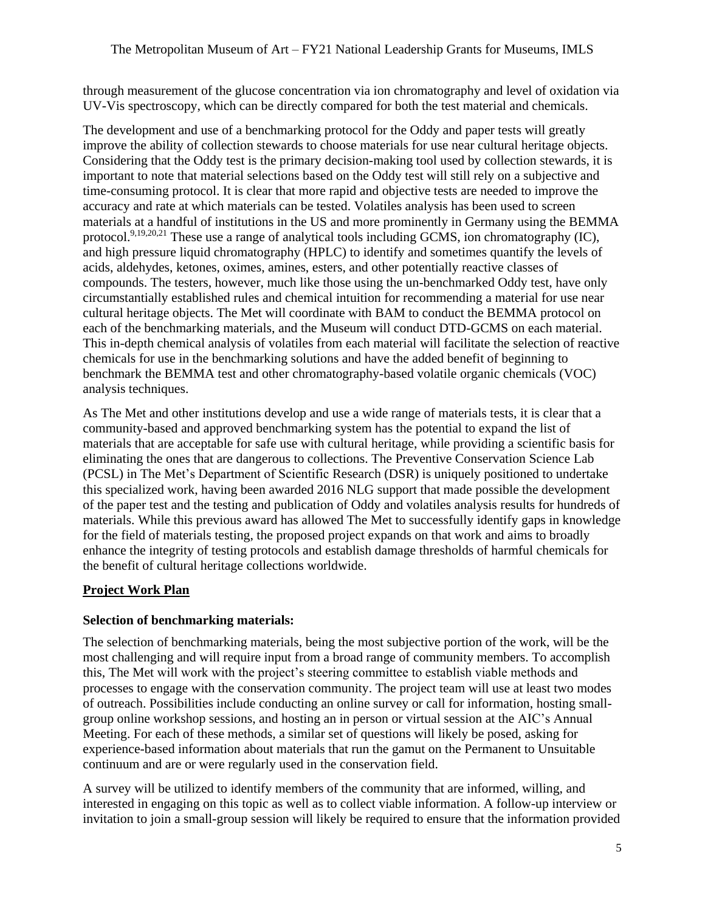through measurement of the glucose concentration via ion chromatography and level of oxidation via UV-Vis spectroscopy, which can be directly compared for both the test material and chemicals.

The development and use of a benchmarking protocol for the Oddy and paper tests will greatly improve the ability of collection stewards to choose materials for use near cultural heritage objects. Considering that the Oddy test is the primary decision-making tool used by collection stewards, it is important to note that material selections based on the Oddy test will still rely on a subjective and time-consuming protocol. It is clear that more rapid and objective tests are needed to improve the accuracy and rate at which materials can be tested. Volatiles analysis has been used to screen materials at a handful of institutions in the US and more prominently in Germany using the BEMMA protocol.<sup>[9,1](#page-1-4)9,20,21</sup> These use a range of analytical tools including GCMS, ion chromatography (IC), and high pressure liquid chromatography (HPLC) to identify and sometimes quantify the levels of acids, aldehydes, ketones, oximes, amines, esters, and other potentially reactive classes of compounds. The testers, however, much like those using the un-benchmarked Oddy test, have only circumstantially established rules and chemical intuition for recommending a material for use near cultural heritage objects. The Met will coordinate with BAM to conduct the BEMMA protocol on each of the benchmarking materials, and the Museum will conduct DTD-GCMS on each material. This in-depth chemical analysis of volatiles from each material will facilitate the selection of reactive chemicals for use in the benchmarking solutions and have the added benefit of beginning to benchmark the BEMMA test and other chromatography-based volatile organic chemicals (VOC) analysis techniques.

As The Met and other institutions develop and use a wide range of materials tests, it is clear that a community-based and approved benchmarking system has the potential to expand the list of materials that are acceptable for safe use with cultural heritage, while providing a scientific basis for eliminating the ones that are dangerous to collections. The Preventive Conservation Science Lab (PCSL) in The Met's Department of Scientific Research (DSR) is uniquely positioned to undertake this specialized work, having been awarded 2016 NLG support that made possible the development of the paper test and the testing and publication of Oddy and volatiles analysis results for hundreds of materials. While this previous award has allowed The Met to successfully identify gaps in knowledge for the field of materials testing, the proposed project expands on that work and aims to broadly enhance the integrity of testing protocols and establish damage thresholds of harmful chemicals for the benefit of cultural heritage collections worldwide.

#### **Project Work Plan**

#### **Selection of benchmarking materials:**

The selection of benchmarking materials, being the most subjective portion of the work, will be the most challenging and will require input from a broad range of community members. To accomplish this, The Met will work with the project's steering committee to establish viable methods and processes to engage with the conservation community. The project team will use at least two modes of outreach. Possibilities include conducting an online survey or call for information, hosting smallgroup online workshop sessions, and hosting an in person or virtual session at the AIC's Annual Meeting. For each of these methods, a similar set of questions will likely be posed, asking for experience-based information about materials that run the gamut on the Permanent to Unsuitable continuum and are or were regularly used in the conservation field.

A survey will be utilized to identify members of the community that are informed, willing, and interested in engaging on this topic as well as to collect viable information. A follow-up interview or invitation to join a small-group session will likely be required to ensure that the information provided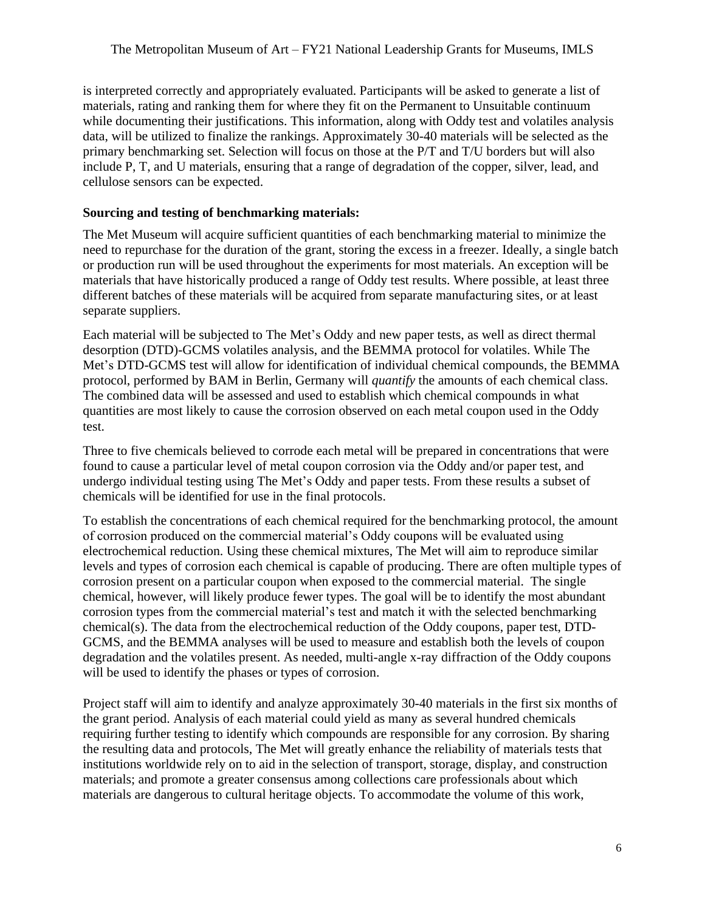is interpreted correctly and appropriately evaluated. Participants will be asked to generate a list of materials, rating and ranking them for where they fit on the Permanent to Unsuitable continuum while documenting their justifications. This information, along with Oddy test and volatiles analysis data, will be utilized to finalize the rankings. Approximately 30-40 materials will be selected as the primary benchmarking set. Selection will focus on those at the P/T and T/U borders but will also include P, T, and U materials, ensuring that a range of degradation of the copper, silver, lead, and cellulose sensors can be expected.

#### **Sourcing and testing of benchmarking materials:**

The Met Museum will acquire sufficient quantities of each benchmarking material to minimize the need to repurchase for the duration of the grant, storing the excess in a freezer. Ideally, a single batch or production run will be used throughout the experiments for most materials. An exception will be materials that have historically produced a range of Oddy test results. Where possible, at least three different batches of these materials will be acquired from separate manufacturing sites, or at least separate suppliers.

Each material will be subjected to The Met's Oddy and new paper tests, as well as direct thermal desorption (DTD)-GCMS volatiles analysis, and the BEMMA protocol for volatiles. While The Met's DTD-GCMS test will allow for identification of individual chemical compounds, the BEMMA protocol, performed by BAM in Berlin, Germany will *quantify* the amounts of each chemical class. The combined data will be assessed and used to establish which chemical compounds in what quantities are most likely to cause the corrosion observed on each metal coupon used in the Oddy test.

Three to five chemicals believed to corrode each metal will be prepared in concentrations that were found to cause a particular level of metal coupon corrosion via the Oddy and/or paper test, and undergo individual testing using The Met's Oddy and paper tests. From these results a subset of chemicals will be identified for use in the final protocols.

To establish the concentrations of each chemical required for the benchmarking protocol, the amount of corrosion produced on the commercial material's Oddy coupons will be evaluated using electrochemical reduction. Using these chemical mixtures, The Met will aim to reproduce similar levels and types of corrosion each chemical is capable of producing. There are often multiple types of corrosion present on a particular coupon when exposed to the commercial material. The single chemical, however, will likely produce fewer types. The goal will be to identify the most abundant corrosion types from the commercial material's test and match it with the selected benchmarking chemical(s). The data from the electrochemical reduction of the Oddy coupons, paper test, DTD-GCMS, and the BEMMA analyses will be used to measure and establish both the levels of coupon degradation and the volatiles present. As needed, multi-angle x-ray diffraction of the Oddy coupons will be used to identify the phases or types of corrosion.

Project staff will aim to identify and analyze approximately 30-40 materials in the first six months of the grant period. Analysis of each material could yield as many as several hundred chemicals requiring further testing to identify which compounds are responsible for any corrosion. By sharing the resulting data and protocols, The Met will greatly enhance the reliability of materials tests that institutions worldwide rely on to aid in the selection of transport, storage, display, and construction materials; and promote a greater consensus among collections care professionals about which materials are dangerous to cultural heritage objects. To accommodate the volume of this work,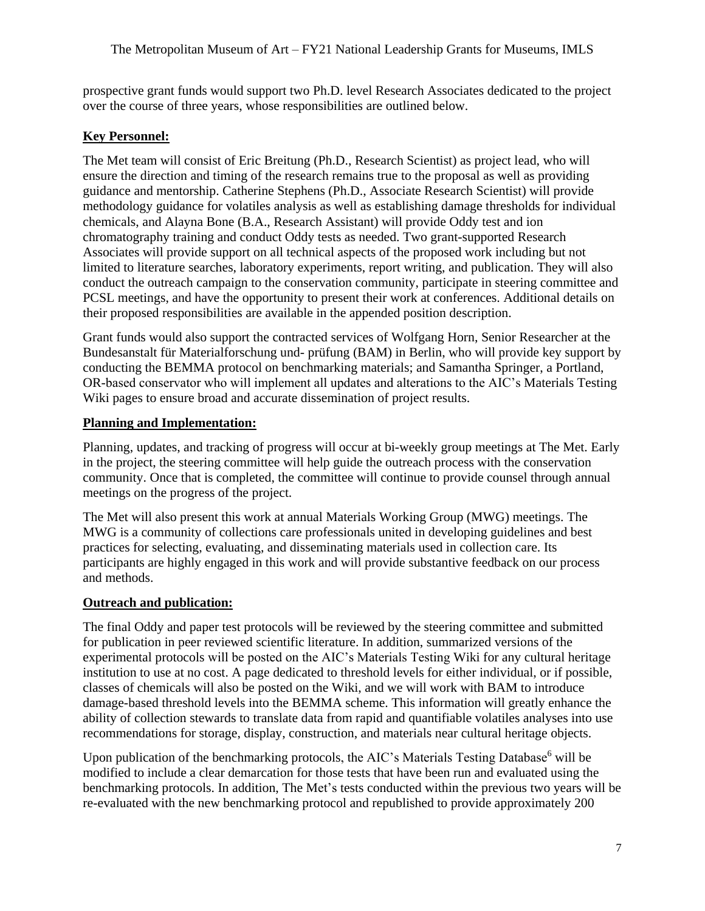prospective grant funds would support two Ph.D. level Research Associates dedicated to the project over the course of three years, whose responsibilities are outlined below.

#### **Key Personnel:**

The Met team will consist of Eric Breitung (Ph.D., Research Scientist) as project lead, who will ensure the direction and timing of the research remains true to the proposal as well as providing guidance and mentorship. Catherine Stephens (Ph.D., Associate Research Scientist) will provide methodology guidance for volatiles analysis as well as establishing damage thresholds for individual chemicals, and Alayna Bone (B.A., Research Assistant) will provide Oddy test and ion chromatography training and conduct Oddy tests as needed. Two grant-supported Research Associates will provide support on all technical aspects of the proposed work including but not limited to literature searches, laboratory experiments, report writing, and publication. They will also conduct the outreach campaign to the conservation community, participate in steering committee and PCSL meetings, and have the opportunity to present their work at conferences. Additional details on their proposed responsibilities are available in the appended position description.

Grant funds would also support the contracted services of Wolfgang Horn, Senior Researcher at the Bundesanstalt für Materialforschung und- prüfung (BAM) in Berlin, who will provide key support by conducting the BEMMA protocol on benchmarking materials; and Samantha Springer, a Portland, OR-based conservator who will implement all updates and alterations to the AIC's Materials Testing Wiki pages to ensure broad and accurate dissemination of project results.

#### **Planning and Implementation:**

Planning, updates, and tracking of progress will occur at bi-weekly group meetings at The Met. Early in the project, the steering committee will help guide the outreach process with the conservation community. Once that is completed, the committee will continue to provide counsel through annual meetings on the progress of the project.

The Met will also present this work at annual Materials Working Group (MWG) meetings. The MWG is a community of collections care professionals united in developing guidelines and best practices for selecting, evaluating, and disseminating materials used in collection care. Its participants are highly engaged in this work and will provide substantive feedback on our process and methods.

#### **Outreach and publication:**

The final Oddy and paper test protocols will be reviewed by the steering committee and submitted for publication in peer reviewed scientific literature. In addition, summarized versions of the experimental protocols will be posted on the AIC's Materials Testing Wiki for any cultural heritage institution to use at no cost. A page dedicated to threshold levels for either individual, or if possible, classes of chemicals will also be posted on the Wiki, and we will work with BAM to introduce damage-based threshold levels into the BEMMA scheme. This information will greatly enhance the ability of collection stewards to translate data from rapid and quantifiable volatiles analyses into use recommendations for storage, display, construction, and materials near cultural heritage objects.

Upon publication of th[e](#page-1-1) benchmarking protocols, the AIC's Materials Testing Database $<sup>6</sup>$  will be</sup> modified to include a clear demarcation for those tests that have been run and evaluated using the benchmarking protocols. In addition, The Met's tests conducted within the previous two years will be re-evaluated with the new benchmarking protocol and republished to provide approximately 200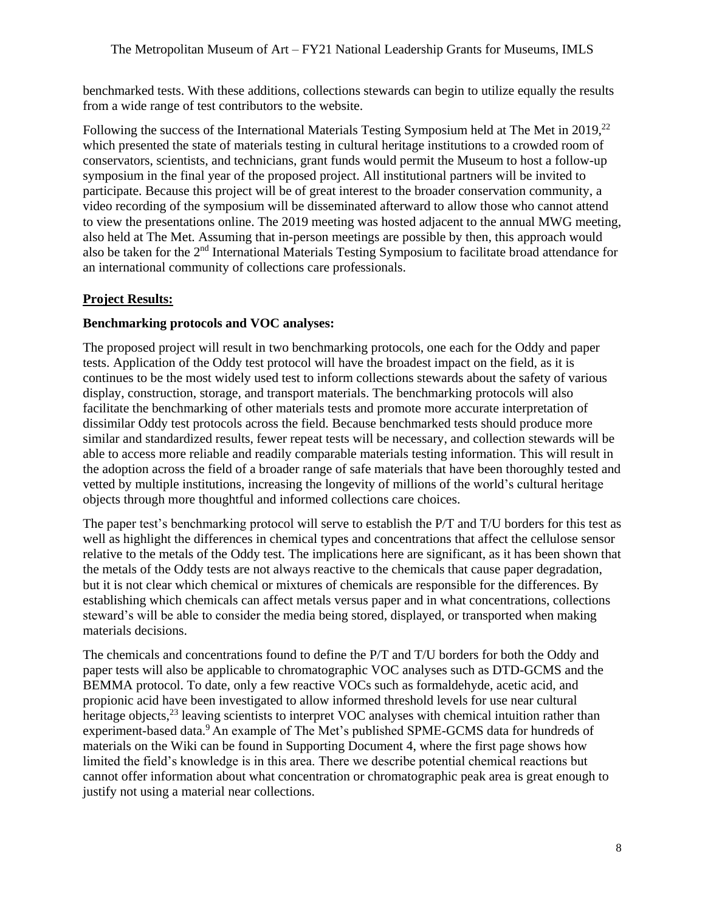benchmarked tests. With these additions, collections stewards can begin to utilize equally the results from a wide range of test contributors to the website.

Following the success of the International Materials Testing Symposium held at The Met in 2019,<sup>22</sup> which presented the state of materials testing in cultural heritage institutions to a crowded room of conservators, scientists, and technicians, grant funds would permit the Museum to host a follow-up symposium in the final year of the proposed project. All institutional partners will be invited to participate. Because this project will be of great interest to the broader conservation community, a video recording of the symposium will be disseminated afterward to allow those who cannot attend to view the presentations online. The 2019 meeting was hosted adjacent to the annual MWG meeting, also held at The Met. Assuming that in-person meetings are possible by then, this approach would also be taken for the 2nd International Materials Testing Symposium to facilitate broad attendance for an international community of collections care professionals.

## **Project Results:**

#### **Benchmarking protocols and VOC analyses:**

The proposed project will result in two benchmarking protocols, one each for the Oddy and paper tests. Application of the Oddy test protocol will have the broadest impact on the field, as it is continues to be the most widely used test to inform collections stewards about the safety of various display, construction, storage, and transport materials. The benchmarking protocols will also facilitate the benchmarking of other materials tests and promote more accurate interpretation of dissimilar Oddy test protocols across the field. Because benchmarked tests should produce more similar and standardized results, fewer repeat tests will be necessary, and collection stewards will be able to access more reliable and readily comparable materials testing information. This will result in the adoption across the field of a broader range of safe materials that have been thoroughly tested and vetted by multiple institutions, increasing the longevity of millions of the world's cultural heritage objects through more thoughtful and informed collections care choices.

The paper test's benchmarking protocol will serve to establish the P/T and T/U borders for this test as well as highlight the differences in chemical types and concentrations that affect the cellulose sensor relative to the metals of the Oddy test. The implications here are significant, as it has been shown that the metals of the Oddy tests are not always reactive to the chemicals that cause paper degradation, but it is not clear which chemical or mixtures of chemicals are responsible for the differences. By establishing which chemicals can affect metals versus paper and in what concentrations, collections steward's will be able to consider the media being stored, displayed, or transported when making materials decisions.

The chemicals and concentrations found to define the P/T and T/U borders for both the Oddy and paper tests will also be applicable to chromatographic VOC analyses such as DTD-GCMS and the BEMMA protocol. To date, only a few reactive VOCs such as formaldehyde, acetic acid, and propionic acid have been investigated to allow informed threshold levels for use near cultural heritage objects,<sup>23</sup> leaving scientists to interpret VOC analyses with chemical intuition rather than experiment-based data[.](#page-1-4)<sup>9</sup> An example of The Met's published SPME-GCMS data for hundreds of materials on the Wiki can be found in Supporting Document 4, where the first page shows how limited the field's knowledge is in this area. There we describe potential chemical reactions but cannot offer information about what concentration or chromatographic peak area is great enough to justify not using a material near collections.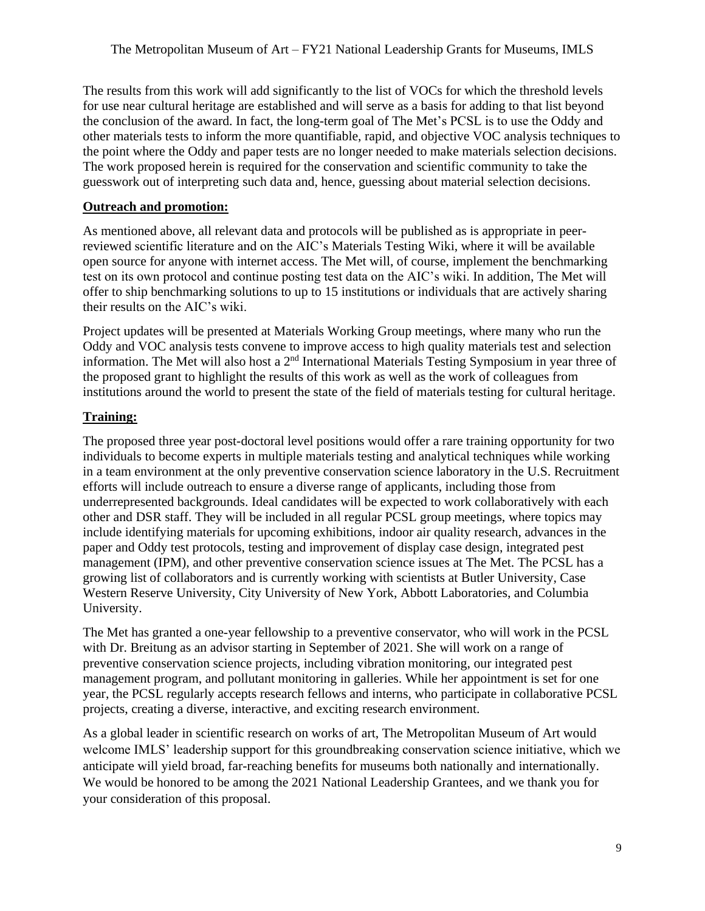The results from this work will add significantly to the list of VOCs for which the threshold levels for use near cultural heritage are established and will serve as a basis for adding to that list beyond the conclusion of the award. In fact, the long-term goal of The Met's PCSL is to use the Oddy and other materials tests to inform the more quantifiable, rapid, and objective VOC analysis techniques to the point where the Oddy and paper tests are no longer needed to make materials selection decisions. The work proposed herein is required for the conservation and scientific community to take the guesswork out of interpreting such data and, hence, guessing about material selection decisions.

#### **Outreach and promotion:**

As mentioned above, all relevant data and protocols will be published as is appropriate in peerreviewed scientific literature and on the AIC's Materials Testing Wiki, where it will be available open source for anyone with internet access. The Met will, of course, implement the benchmarking test on its own protocol and continue posting test data on the AIC's wiki. In addition, The Met will offer to ship benchmarking solutions to up to 15 institutions or individuals that are actively sharing their results on the AIC's wiki.

Project updates will be presented at Materials Working Group meetings, where many who run the Oddy and VOC analysis tests convene to improve access to high quality materials test and selection information. The Met will also host a 2<sup>nd</sup> International Materials Testing Symposium in year three of the proposed grant to highlight the results of this work as well as the work of colleagues from institutions around the world to present the state of the field of materials testing for cultural heritage.

## **Training:**

The proposed three year post-doctoral level positions would offer a rare training opportunity for two individuals to become experts in multiple materials testing and analytical techniques while working in a team environment at the only preventive conservation science laboratory in the U.S. Recruitment efforts will include outreach to ensure a diverse range of applicants, including those from underrepresented backgrounds. Ideal candidates will be expected to work collaboratively with each other and DSR staff. They will be included in all regular PCSL group meetings, where topics may include identifying materials for upcoming exhibitions, indoor air quality research, advances in the paper and Oddy test protocols, testing and improvement of display case design, integrated pest management (IPM), and other preventive conservation science issues at The Met. The PCSL has a growing list of collaborators and is currently working with scientists at Butler University, Case Western Reserve University, City University of New York, Abbott Laboratories, and Columbia University.

The Met has granted a one-year fellowship to a preventive conservator, who will work in the PCSL with Dr. Breitung as an advisor starting in September of 2021. She will work on a range of preventive conservation science projects, including vibration monitoring, our integrated pest management program, and pollutant monitoring in galleries. While her appointment is set for one year, the PCSL regularly accepts research fellows and interns, who participate in collaborative PCSL projects, creating a diverse, interactive, and exciting research environment.

As a global leader in scientific research on works of art, The Metropolitan Museum of Art would welcome IMLS' leadership support for this groundbreaking conservation science initiative, which we anticipate will yield broad, far-reaching benefits for museums both nationally and internationally. We would be honored to be among the 2021 National Leadership Grantees, and we thank you for your consideration of this proposal.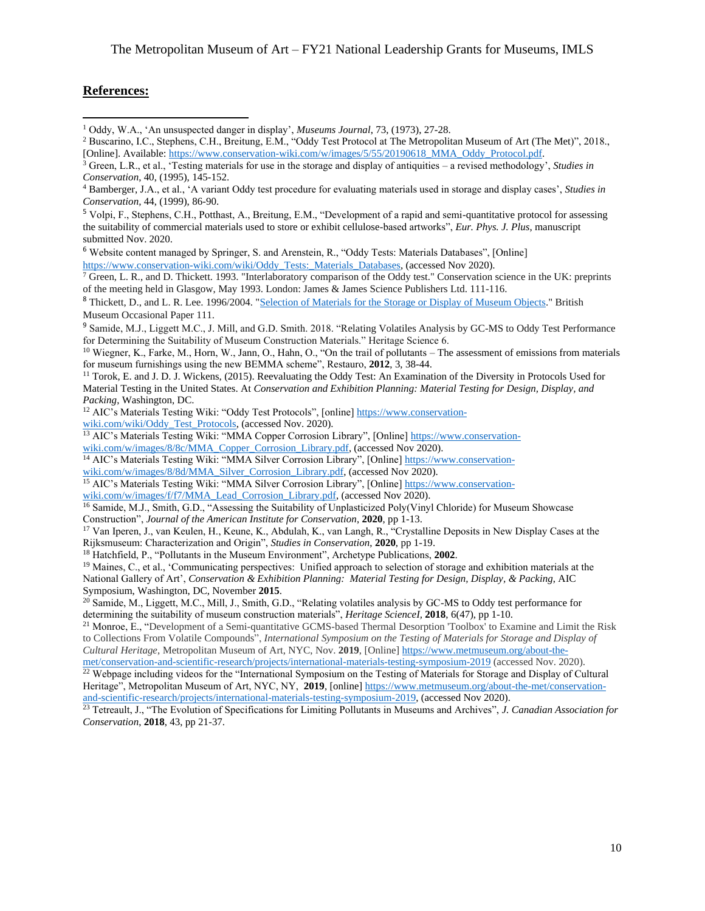#### **References:**

 $\overline{\phantom{a}}$ 

<sup>6</sup> Website content managed by Springer, S. and Arenstein, R., "Oddy Tests: Materials Databases", [Online] [https://www.conservation-wiki.com/wiki/Oddy\\_Tests:\\_Materials\\_Databases, \(a](https://www.conservation-wiki.com/wiki/Oddy_Tests:_Materials_Databases)ccessed Nov 2020).

<sup>7</sup> Green, L. R., and D. Thickett. 1993. "Interlaboratory comparison of the Oddy test." Conservation science in the UK: preprints of the meeting held in Glasgow, May 1993. London: James & James Science Publishers Ltd. 111-116.

<sup>8</sup> Thickett, D., and L. R. Lee. 1996/2004. "Selection of Materials for the Storage or Display of Museum Objects." British Museum Occasional Paper 111.

<sup>9</sup> Samide, M.J., Liggett M.C., J. Mill, and G.D. Smith. 2018. "Relating Volatiles Analysis by GC-MS to Oddy Test Performance for Determining the Suitability of Museum Construction Materials." Heritage Science 6.

<sup>10</sup> Wiegner, K., Farke, M., Horn, W., Jann, O., Hahn, O., "On the trail of pollutants – The assessment of emissions from materials for museum furnishings using the new BEMMA scheme", Restauro, **2012**, 3, 38-44.

<sup>11</sup> Torok, E. and J. D. J. Wickens, (2015). Reevaluating the Oddy Test: An Examination of the Diversity in Protocols Used for Material Testing in the United States. At *Conservation and Exhibition Planning: Material Testing for Design, Display, and Packing*, Washington, DC.

<sup>12</sup> [AIC's Materials Testing Wiki: "Oddy Test Protocols", \[online\] https://www.conservation](https://www.conservation-wiki.com/wiki/Oddy_Test_Protocols)wiki[.com/wiki/Oddy\\_Test\\_Protocols, \(ac](https://www.conservation-wiki.com/wiki/Oddy_Test_Protocols)cessed Nov. 2020).

<sup>13</sup> [AIC's Materials Testing Wiki: "MMA Copper Corrosion Library", \[Online\] https://www.conservation-](https://www.conservation-wiki.com/w/images/8/8c/MMA_Copper_Corrosion_Library.pdf)

wiki[.com/w/images/8/8c/MMA\\_Copper\\_Corrosion\\_Library.pdf, \(a](https://www.conservation-wiki.com/w/images/8/8c/MMA_Copper_Corrosion_Library.pdf)ccessed Nov 2020).

<sup>14</sup> AIC's Materials Testing Wiki: "MMA Silver Corrosion Library", [Online] [https://www.con](https://www.conservation-wiki.com/w/images/8/8d/MMA_Silver_Corrosion_Library.pdf)servation-

[wiki.com/w/images/8/8d/MMA\\_Silver\\_Corrosion\\_Library.pdf, \(accessed Nov 2020\).](https://www.conservation-wiki.com/w/images/8/8d/MMA_Silver_Corrosion_Library.pdf)

<sup>15</sup> [AIC's Materials Testing Wiki: "MMA Silver Corrosion Library", \[Online\] https://www.conservation-](https://www.conservation-wiki.com/w/images/f/f7/MMA_Lead_Corrosion_Library.pdf)

wiki[.com/w/images/f/f7/MMA\\_Lead\\_Corrosion\\_Library.pdf, \(a](https://www.conservation-wiki.com/w/images/f/f7/MMA_Lead_Corrosion_Library.pdf)ccessed Nov 2020).

<sup>16</sup> Samide, M.J., Smith, G.D., "Assessing the Suitability of Unplasticized Poly(Vinyl Chloride) for Museum Showcase

Construction", *Journal of the American Institute for Conservation*, **2020**, pp 1-13.

<sup>17</sup> Van Iperen, J., van Keulen, H., Keune, K., Abdulah, K., van Langh, R., "Crystalline Deposits in New Display Cases at the Rijksmuseum: Characterization and Origin", *Studies in Conservation*, **2020**, pp 1-19.

<sup>18</sup> Hatchfield, P., "Pollutants in the Museum Environment", Archetype Publications, **2002**.

<sup>19</sup> Maines, C., et al., 'Communicating perspectives: Unified approach to selection of storage and exhibition materials at the National Gallery of Art', *Conservation & Exhibition Planning: Material Testing for Design, Display, & Packing*, AIC Symposium, Washington, DC, November **2015**.

 $^{20}$  Samide, M., Liggett, M.C., Mill, J., Smith, G.D., "Relating volatiles analysis by GC-MS to Oddy test performance for determining the suitability of museum construction materials", *Heritage ScienceI,* **2018**, 6(47), pp 1-10.

<sup>21</sup> Monroe, E., "Development of a Semi-quantitative GCMS-based Thermal Desorption 'Toolbox' to Examine and Limit the Risk to Collections From Volatile Compounds", *International Symposium on the Testing of Materials for Storage and Display of Cultural Heritage*, Metropolitan Museum of Art, NYC, Nov. **2019**, [Online] [https://www.metmuseum.org/about-the](https://www.metmuseum.org/about-the-met/conservation-and-scientific-research/projects/international-materials-testing-symposium-2019)-

[met/conservation-and-scientific-research/projects/international-materials-testing-symposium-2019](https://www.metmuseum.org/about-the-met/conservation-and-scientific-research/projects/international-materials-testing-symposium-2019) (accessed Nov. 2020).  $22$  Webpage including videos for the "International Symposium on the Testing of Materials for Storage and Display of Cultural Heritage", Metropolitan Museum of Art, NYC, NY, **2019**, [online] [https://www.metmuseum.org/about-the-met/con](https://www.metmuseum.org/about-the-met/conservation-and-scientific-research/projects/international-materials-testing-symposium-2019)servation[and-scientific-research/projects/international-materials-testing-symposium-2019, \(accessed Nov 2020\).](https://www.metmuseum.org/about-the-met/conservation-and-scientific-research/projects/international-materials-testing-symposium-2019)

<sup>23</sup> Tetreault, J., "The Evolution of Specifications for Limiting Pollutants in Museums and Archives", *J. Canadian Association for Conservation*, **2018**, 43, pp 21-37.

<sup>1</sup> Oddy, W.A., 'An unsuspected danger in display', *Museums Journal*, 73, (1973), 27-28.

<sup>2</sup> Buscarino, I.C., Stephens, C.H., Breitung, E.M., "Oddy Test Protocol at The Metropolitan Museum of Art (The Met)", 2018., [Online]. Available: [https://www.conservation-wiki.com/w/images/5/55/20190618\\_MMA\\_Oddy\\_Protocol.pdf.](https://www.conservation-wiki.com/w/images/5/55/20190618_MMA_Oddy_Protocol.pdf)

<sup>3</sup> Green, L.R., et al., 'Testing materials for use in the storage and display of antiquities – a revised methodology', *Studies in Conservation*, 40, (1995), 145-152.

<sup>4</sup> Bamberger, J.A., et al., 'A variant Oddy test procedure for evaluating materials used in storage and display cases', *Studies in Conservation,* 44, (1999), 86-90.

<sup>5</sup> Volpi, F., Stephens, C.H., Potthast, A., Breitung, E.M., "Development of a rapid and semi-quantitative protocol for assessing the suitability of commercial materials used to store or exhibit cellulose-based artworks", *Eur. Phys. J. Plus*, manuscript submitted Nov. 2020.